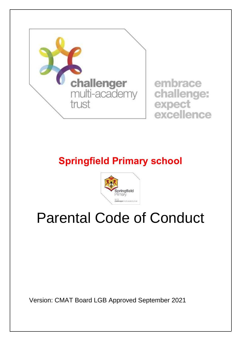

## **Springfield Primary school**



## Parental Code of Conduct

Version: CMAT Board LGB Approved September 2021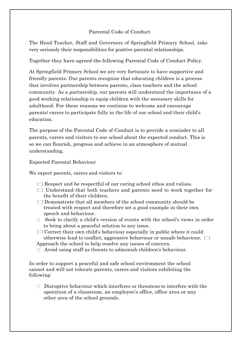## Parental Code of Conduct

The Head Teacher, Staff and Governors of Springfield Primary School, take very seriously their responsibilities for positive parental relationships.

Together they have agreed the following Parental Code of Conduct Policy.

At Springfield Primary School we are very fortunate to have supportive and friendly parents. Our parents recognise that educating children is a process that involves partnership between parents, class teachers and the school community. As a partnership, our parents will understand the importance of a good working relationship to equip children with the necessary skills for adulthood. For these reasons we continue to welcome and encourage parents/ carers to participate fully in the life of our school and their child's education.

The purpose of the Parental Code of Conduct is to provide a reminder to all parents, carers and visitors to our school about the expected conduct. This is so we can flourish, progress and achieve in an atmosphere of mutual understanding.

Expected Parental Behaviour

We expect parents, carers and visitors to:

- $\Box$  Respect and be respectful of our caring school ethos and values.
- $\Box$  Understand that both teachers and parents need to work together for the benefit of their children.
- $\square$  Demonstrate that all members of the school community should be treated with respect and therefore set a good example in their own speech and behaviour.
- $\Box$  Seek to clarify a child's version of events with the school's views in order to bring about a peaceful solution to any issue.
- $\Box$  Correct their own child's behaviour especially in public where it could otherwise lead to conflict, aggressive behaviour or unsafe behaviour.  $\Box$ Approach the school to help resolve any issues of concern.
- Avoid using staff as threats to admonish children's behaviour.

In order to support a peaceful and safe school environment the school cannot and will not tolerate parents, carers and visitors exhibiting the following:

 $\Box$  Disruptive behaviour which interferes or threatens to interfere with the operation of a classroom, an employee's office, office area or any other area of the school grounds.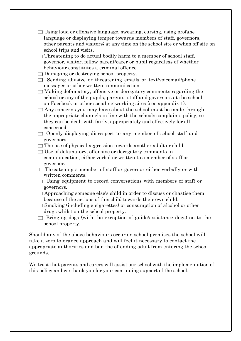- $\Box$  Using loud or offensive language, swearing, cursing, using profane language or displaying temper towards members of staff, governors, other parents and visitors; at any time on the school site or when off site on school trips and visits.
- $\Box$  Threatening to do actual bodily harm to a member of school staff, governor, visitor, fellow parent/carer or pupil regardless of whether behaviour constitutes a criminal offence.
- $\Box$  Damaging or destroying school property.
- $\Box$  Sending abusive or threatening emails or text/voicemail/phone messages or other written communication.
- $\Box$  Making defamatory, offensive or derogatory comments regarding the school or any of the pupils, parents, staff and governors at the school on Facebook or other social networking sites (see appendix 1).
- $\Box$  Any concerns you may have about the school must be made through the appropriate channels in line with the schools complaints policy, so they can be dealt with fairly, appropriately and effectively for all concerned.
- $\Box$  Openly displaying disrespect to any member of school staff and governors.
- $\Box$  The use of physical aggression towards another adult or child.
- Use of defamatory, offensive or derogatory comments in communication, either verbal or written to a member of staff or governor.
- $\Box$  Threatening a member of staff or governor either verbally or with written comments.
- $\Box$  Using equipment to record conversations with members of staff or governors.
- $\Box$  Approaching someone else's child in order to discuss or chastise them because of the actions of this child towards their own child.
- $\Box$  Smoking (including e-cigarettes) or consumption of alcohol or other drugs whilst on the school property.
- $\Box$  Bringing dogs (with the exception of guide/assistance dogs) on to the school property.

Should any of the above behaviours occur on school premises the school will take a zero tolerance approach and will feel it necessary to contact the appropriate authorities and ban the offending adult from entering the school grounds.

We trust that parents and carers will assist our school with the implementation of this policy and we thank you for your continuing support of the school.